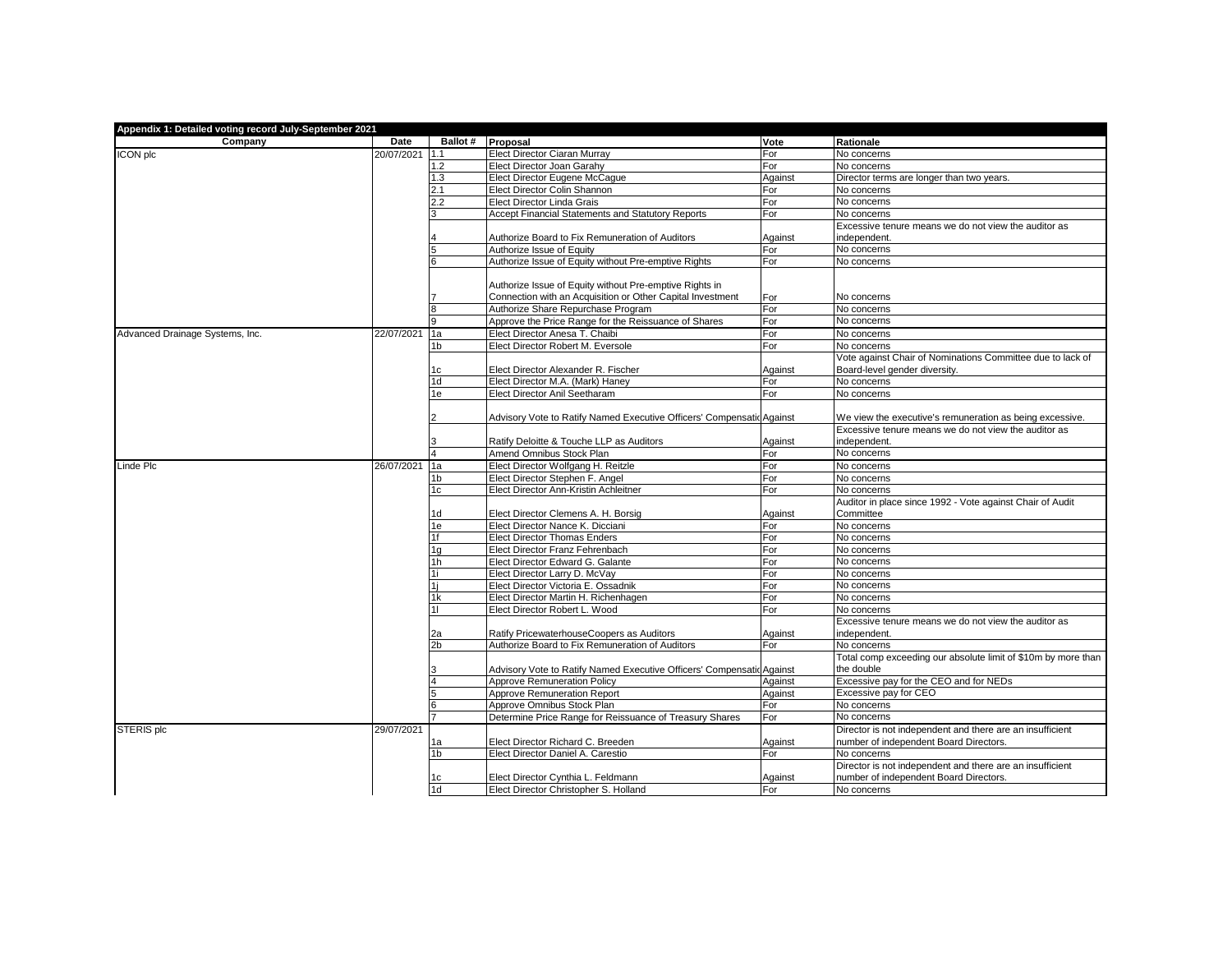| Appendix 1: Detailed voting record July-September 2021 |            |                      |                                                                                                                       |                |                                                               |  |  |  |
|--------------------------------------------------------|------------|----------------------|-----------------------------------------------------------------------------------------------------------------------|----------------|---------------------------------------------------------------|--|--|--|
| Company                                                | Date       |                      | Ballot # Proposal                                                                                                     | Vote           | Rationale                                                     |  |  |  |
| ICON plc                                               | 20/07/2021 | 1.1                  | Elect Director Ciaran Murray                                                                                          | For            | No concerns                                                   |  |  |  |
|                                                        |            | 1.2                  | Elect Director Joan Garahy                                                                                            | For            | No concerns                                                   |  |  |  |
|                                                        |            | 1.3                  | Elect Director Eugene McCague                                                                                         | Against        | Director terms are longer than two years.                     |  |  |  |
|                                                        |            | 2.1                  | Elect Director Colin Shannon                                                                                          | For            | No concerns                                                   |  |  |  |
|                                                        |            | 2.2                  | Elect Director Linda Grais                                                                                            | For            | No concerns                                                   |  |  |  |
|                                                        |            | 3                    | Accept Financial Statements and Statutory Reports                                                                     | For            | No concerns                                                   |  |  |  |
|                                                        |            |                      |                                                                                                                       |                | Excessive tenure means we do not view the auditor as          |  |  |  |
|                                                        |            |                      | Authorize Board to Fix Remuneration of Auditors                                                                       | Against        | independent.                                                  |  |  |  |
|                                                        |            | 5                    | Authorize Issue of Equity                                                                                             | For            | No concerns                                                   |  |  |  |
|                                                        |            | 6                    | Authorize Issue of Equity without Pre-emptive Rights                                                                  | For            | No concerns                                                   |  |  |  |
|                                                        |            |                      |                                                                                                                       |                |                                                               |  |  |  |
|                                                        |            |                      | Authorize Issue of Equity without Pre-emptive Rights in<br>Connection with an Acquisition or Other Capital Investment | For            | No concerns                                                   |  |  |  |
|                                                        |            | 8                    | Authorize Share Repurchase Program                                                                                    | For            | No concerns                                                   |  |  |  |
|                                                        |            | 9                    | Approve the Price Range for the Reissuance of Shares                                                                  | For            | No concerns                                                   |  |  |  |
|                                                        |            |                      |                                                                                                                       |                |                                                               |  |  |  |
| Advanced Drainage Systems, Inc.                        | 22/07/2021 | 1a                   | Elect Director Anesa T. Chaibi                                                                                        | For            | No concerns                                                   |  |  |  |
|                                                        |            | 1 <sub>b</sub>       | Elect Director Robert M. Eversole                                                                                     | For            | No concerns                                                   |  |  |  |
|                                                        |            |                      |                                                                                                                       |                | Vote against Chair of Nominations Committee due to lack of    |  |  |  |
|                                                        |            | 1c<br>1 <sub>d</sub> | Elect Director Alexander R. Fischer<br>Elect Director M.A. (Mark) Haney                                               | Against<br>For | Board-level gender diversity.<br>No concerns                  |  |  |  |
|                                                        |            |                      | Elect Director Anil Seetharam                                                                                         | For            | No concerns                                                   |  |  |  |
|                                                        |            | 1e                   |                                                                                                                       |                |                                                               |  |  |  |
|                                                        |            |                      | Advisory Vote to Ratify Named Executive Officers' Compensatic Against                                                 |                | We view the executive's remuneration as being excessive.      |  |  |  |
|                                                        |            |                      |                                                                                                                       |                | Excessive tenure means we do not view the auditor as          |  |  |  |
|                                                        |            |                      | Ratify Deloitte & Touche LLP as Auditors                                                                              | Against        | independent.                                                  |  |  |  |
|                                                        |            |                      | Amend Omnibus Stock Plan                                                                                              | For            | No concerns                                                   |  |  |  |
| Linde Plc                                              | 26/07/2021 | 1a                   | Elect Director Wolfgang H. Reitzle                                                                                    | For            | No concerns                                                   |  |  |  |
|                                                        |            | 1 <sub>b</sub>       | Elect Director Stephen F. Angel                                                                                       | For            | No concerns                                                   |  |  |  |
|                                                        |            | 1c                   | Elect Director Ann-Kristin Achleitner                                                                                 | For            | No concerns                                                   |  |  |  |
|                                                        |            |                      |                                                                                                                       |                | Auditor in place since 1992 - Vote against Chair of Audit     |  |  |  |
|                                                        |            | 1d                   | Elect Director Clemens A. H. Borsig                                                                                   | Against        | Committee                                                     |  |  |  |
|                                                        |            | 1e                   | Elect Director Nance K. Dicciani                                                                                      | For            | No concerns                                                   |  |  |  |
|                                                        |            | 1f                   | <b>Elect Director Thomas Enders</b>                                                                                   | For            | No concerns                                                   |  |  |  |
|                                                        |            | 1g                   | Elect Director Franz Fehrenbach                                                                                       | For            | No concerns                                                   |  |  |  |
|                                                        |            | 1 <sub>h</sub>       | Elect Director Edward G. Galante                                                                                      | For            | No concerns                                                   |  |  |  |
|                                                        |            | 1i                   | Elect Director Larry D. McVay                                                                                         | For            | No concerns                                                   |  |  |  |
|                                                        |            | 1i                   | Elect Director Victoria E. Ossadnik                                                                                   | For            | No concerns                                                   |  |  |  |
|                                                        |            | 1k                   | Elect Director Martin H. Richenhagen                                                                                  | For            | No concerns                                                   |  |  |  |
|                                                        |            | 11                   | Elect Director Robert L. Wood                                                                                         | For            | No concerns                                                   |  |  |  |
|                                                        |            |                      |                                                                                                                       |                | Excessive tenure means we do not view the auditor as          |  |  |  |
|                                                        |            | 2a                   | Ratify PricewaterhouseCoopers as Auditors                                                                             | Against        | independent.                                                  |  |  |  |
|                                                        |            | 2 <sub>b</sub>       | Authorize Board to Fix Remuneration of Auditors                                                                       | For            | No concerns                                                   |  |  |  |
|                                                        |            |                      |                                                                                                                       |                | Total comp exceeding our absolute limit of \$10m by more than |  |  |  |
|                                                        |            |                      | Advisory Vote to Ratify Named Executive Officers' Compensatic Against                                                 |                | the double                                                    |  |  |  |
|                                                        |            |                      | Approve Remuneration Policy                                                                                           | Against        | Excessive pay for the CEO and for NEDs                        |  |  |  |
|                                                        |            | 5                    | Approve Remuneration Report                                                                                           | Against        | Excessive pay for CEO                                         |  |  |  |
|                                                        |            | 6                    | Approve Omnibus Stock Plan                                                                                            | For            | No concerns                                                   |  |  |  |
|                                                        |            |                      | Determine Price Range for Reissuance of Treasury Shares                                                               | For            | No concerns                                                   |  |  |  |
| STERIS plc                                             | 29/07/2021 |                      |                                                                                                                       |                | Director is not independent and there are an insufficient     |  |  |  |
|                                                        |            | 1a                   | Elect Director Richard C. Breeden                                                                                     | Against        | number of independent Board Directors.                        |  |  |  |
|                                                        |            | 1 <sub>b</sub>       | Elect Director Daniel A. Carestio                                                                                     | For            | No concerns                                                   |  |  |  |
|                                                        |            |                      |                                                                                                                       |                | Director is not independent and there are an insufficient     |  |  |  |
|                                                        |            | 1c                   | Elect Director Cynthia L. Feldmann                                                                                    | Against        | number of independent Board Directors.                        |  |  |  |
|                                                        |            | 1 <sub>d</sub>       | Elect Director Christopher S. Holland                                                                                 | For            | No concerns                                                   |  |  |  |